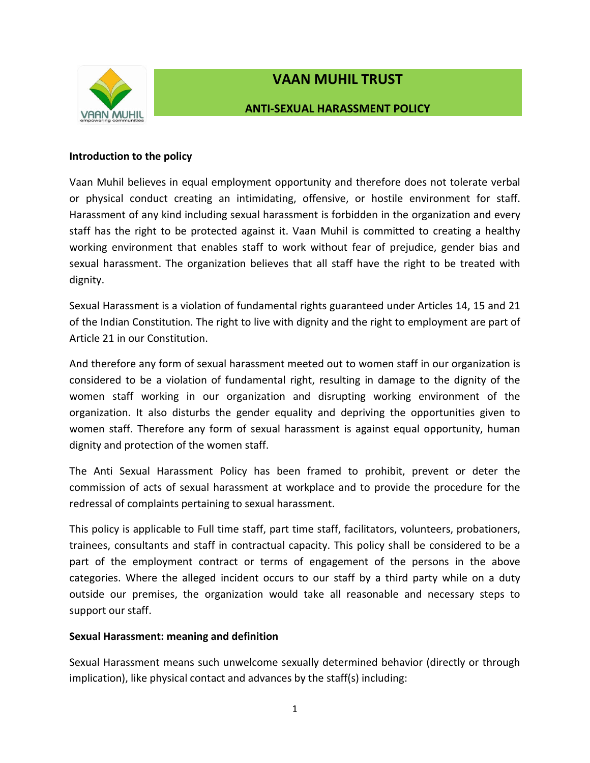

# **VAAN MUHIL TRUST**

# **ANTI-SEXUAL HARASSMENT POLICY**

### **Introduction to the policy**

Vaan Muhil believes in equal employment opportunity and therefore does not tolerate verbal or physical conduct creating an intimidating, offensive, or hostile environment for staff. Harassment of any kind including sexual harassment is forbidden in the organization and every staff has the right to be protected against it. Vaan Muhil is committed to creating a healthy working environment that enables staff to work without fear of prejudice, gender bias and sexual harassment. The organization believes that all staff have the right to be treated with dignity.

Sexual Harassment is a violation of fundamental rights guaranteed under Articles 14, 15 and 21 of the Indian Constitution. The right to live with dignity and the right to employment are part of Article 21 in our Constitution.

And therefore any form of sexual harassment meeted out to women staff in our organization is considered to be a violation of fundamental right, resulting in damage to the dignity of the women staff working in our organization and disrupting working environment of the organization. It also disturbs the gender equality and depriving the opportunities given to women staff. Therefore any form of sexual harassment is against equal opportunity, human dignity and protection of the women staff.

The Anti Sexual Harassment Policy has been framed to prohibit, prevent or deter the commission of acts of sexual harassment at workplace and to provide the procedure for the redressal of complaints pertaining to sexual harassment.

This policy is applicable to Full time staff, part time staff, facilitators, volunteers, probationers, trainees, consultants and staff in contractual capacity. This policy shall be considered to be a part of the employment contract or terms of engagement of the persons in the above categories. Where the alleged incident occurs to our staff by a third party while on a duty outside our premises, the organization would take all reasonable and necessary steps to support our staff.

# **Sexual Harassment: meaning and definition**

Sexual Harassment means such unwelcome sexually determined behavior (directly or through implication), like physical contact and advances by the staff(s) including: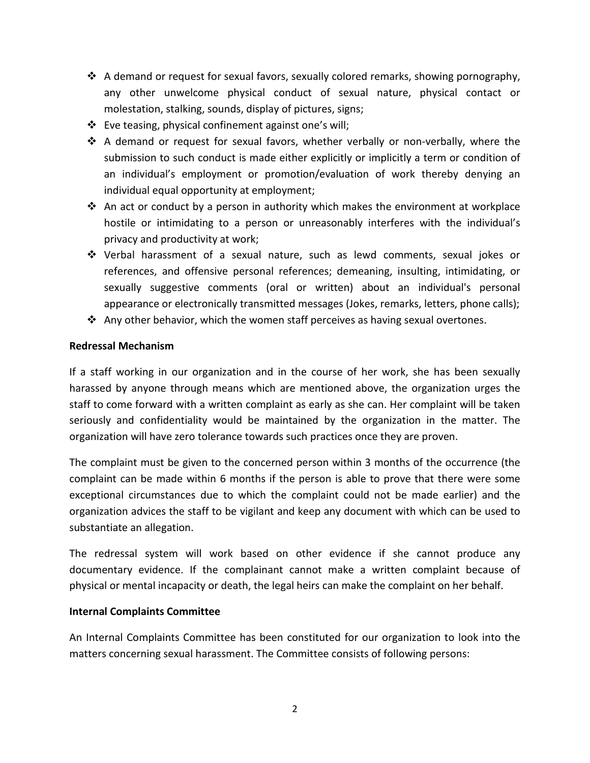- $\clubsuit$  A demand or request for sexual favors, sexually colored remarks, showing pornography, any other unwelcome physical conduct of sexual nature, physical contact or molestation, stalking, sounds, display of pictures, signs;
- Eve teasing, physical confinement against one's will;
- $\clubsuit$  A demand or request for sexual favors, whether verbally or non-verbally, where the submission to such conduct is made either explicitly or implicitly a term or condition of an individual's employment or promotion/evaluation of work thereby denying an individual equal opportunity at employment;
- $\cdot$  An act or conduct by a person in authority which makes the environment at workplace hostile or intimidating to a person or unreasonably interferes with the individual's privacy and productivity at work;
- Verbal harassment of a sexual nature, such as lewd comments, sexual jokes or references, and offensive personal references; demeaning, insulting, intimidating, or sexually suggestive comments (oral or written) about an individual's personal appearance or electronically transmitted messages (Jokes, remarks, letters, phone calls);
- $\clubsuit$  Any other behavior, which the women staff perceives as having sexual overtones.

#### **Redressal Mechanism**

If a staff working in our organization and in the course of her work, she has been sexually harassed by anyone through means which are mentioned above, the organization urges the staff to come forward with a written complaint as early as she can. Her complaint will be taken seriously and confidentiality would be maintained by the organization in the matter. The organization will have zero tolerance towards such practices once they are proven.

The complaint must be given to the concerned person within 3 months of the occurrence (the complaint can be made within 6 months if the person is able to prove that there were some exceptional circumstances due to which the complaint could not be made earlier) and the organization advices the staff to be vigilant and keep any document with which can be used to substantiate an allegation.

The redressal system will work based on other evidence if she cannot produce any documentary evidence. If the complainant cannot make a written complaint because of physical or mental incapacity or death, the legal heirs can make the complaint on her behalf.

#### **Internal Complaints Committee**

An Internal Complaints Committee has been constituted for our organization to look into the matters concerning sexual harassment. The Committee consists of following persons: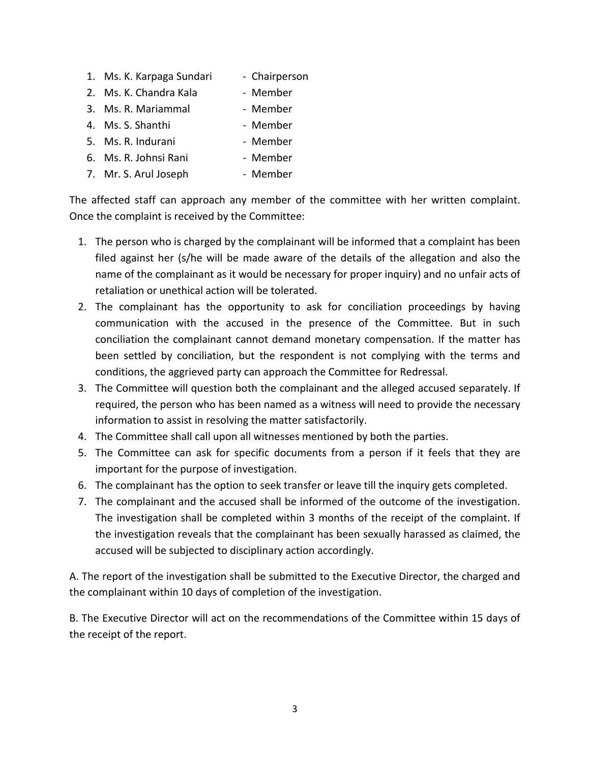- 1. Ms. K. Karpaga Sundari Chairperson
- 2. Ms. K. Chandra Kala Member
- 3. Ms. R. Mariammal Member
- 4. Ms. S. Shanthi Member
- 5. Ms. R. Indurani  **Member**
- 6. Ms. R. Johnsi Rani Member
- 7. Mr. S. Arul Joseph Member

The affected staff can approach any member of the committee with her written complaint. Once the complaint is received by the Committee:

- 1. The person who is charged by the complainant will be informed that a complaint has been filed against her (s/he will be made aware of the details of the allegation and also the name of the complainant as it would be necessary for proper inquiry) and no unfair acts of retaliation or unethical action will be tolerated.
- 2. The complainant has the opportunity to ask for conciliation proceedings by having communication with the accused in the presence of the Committee. But in such conciliation the complainant cannot demand monetary compensation. If the matter has been settled by conciliation, but the respondent is not complying with the terms and conditions, the aggrieved party can approach the Committee for Redressal.
- 3. The Committee will question both the complainant and the alleged accused separately. If required, the person who has been named as a witness will need to provide the necessary information to assist in resolving the matter satisfactorily.
- 4. The Committee shall call upon all witnesses mentioned by both the parties.
- 5. The Committee can ask for specific documents from a person if it feels that they are important for the purpose of investigation.
- 6. The complainant has the option to seek transfer or leave till the inquiry gets completed.
- 7. The complainant and the accused shall be informed of the outcome of the investigation. The investigation shall be completed within 3 months of the receipt of the complaint. If the investigation reveals that the complainant has been sexually harassed as claimed, the accused will be subjected to disciplinary action accordingly.

A. The report of the investigation shall be submitted to the Executive Director, the charged and the complainant within 10 days of completion of the investigation.

B. The Executive Director will act on the recommendations of the Committee within 15 days of the receipt of the report.